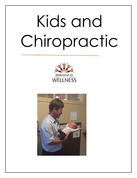# Kids and Chiropractic



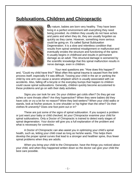## **Subluxations, Children and Chiropractic**



**B**y nature, babies are born very healthy. They have been living in a perfect environment with everything they need being provided. As children they usually do not have aches and pains and when they do, they are usually forgotten as quickly as they came. However, something more serious could be going on. It's called Spinal Subluxation Degeneration. It is a slow and relentless condition that results from spinal vertebral misalignment or malfunction and eventually erodes the structure and functioning of the spine. It usually begins in childhood and results in permanent damage as an adult. This structural damage is worsened by the scientific knowledge that this spinal malfunction results in nerve damage, even in children.

Your next questions are: "How does this happen?" and, "Could my child have this?" Most often this spinal trauma is caused from the birth process itself, especially if it was difficult. Tossing your child in the air or yanking the child by one arm can cause a severe whiplash which is usually associated with car accidents. Also, falling off a bicycle or the everyday bumps that happen to children could cause spinal subluxations. Generally, children quickly become accustomed to these problems and go on with their daily activities.

Signs you can look for are: Do your children get colds often? Do they get ear aches or sore throats often? Are they hyperactive? When they were babies did they have colic or cry a lot for no reason? Were they bed-wetters? When your child walks or stands, look at his/her posture. Is one shoulder or hip higher than the other? Do their clothes fit unevenly? Does one foot point out or in?

These are just some of the signs of spinal subluxation. If you suspect a problem or just want your baby or child checked, let your Chiropractor examine your child for spinal subluxations. Only a Doctor of Chiropractic is trained to detect early stages of spinal degeneration. Your doctor will give you a full explanation of the problem and what is necessary for correction.

A Doctor of Chiropractic can also assist you in optimizing your child's spinal health, such as, letting your child crawl as long as he/she wants. This helps them develop the proper spinal curves that lead to a stronger and healthier spine, thus fewer spinal problems when they are adults.

When you bring your child to the Chiropractor, have the things you noticed about your child, and when they happened written down so the doctor can give your child the best care possible.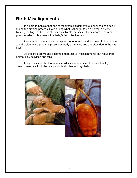## **Birth Misalignments**

It is hard to believe that one of the first misalignments experienced can occur during the birthing process. Even during what is thought to be a normal delivery, twisting, pulling and the use of forceps subjects the spine of a newborn to extreme pressure which often results in a baby's first misalignment.

New studies have shown that spinal degeneration and distortion in both adults and the elderly are probably present as early as infancy and are often due to the birth itself.

As the child grows and becomes more active, misalignments can result from normal play activities and falls.

It is just as important to have a child's spine examined to insure healthy development, as it is to have a child's teeth checked regularly.

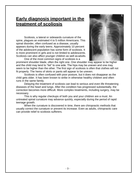## **Early diagnosis important in the treatment of scoliosis**

Scoliosis, a lateral or sidewards curvature of the spine, plagues an estimated 4 to 5 million Americans. This spinal disorder, often confused as a disease, usually appears during the early teens. Approximately 10 percent of the adolescent population has some form of scoliosis. It is more prominent in girls and is not limited to adolescents. Scoliosis can also affect younger children as well as adults.

One of the most common signs of scoliosis is a



prominent shoulder blade, often the right one. One shoulder may appear to be higher and the child may tend to "list" to one side. The hips may be uneven and one may seem to be higher than the other. The first sign of scoliosis is often that clothes will not fit properly. The hems of skirts or pants will appear to be uneven.

Scoliosis is often confused with poor posture, but it does not disappear as the child gets older. It has been known to strike in otherwise healthy children and often runs in the same family.

Delaying the treatment of scoliosis can lead to serious and even life threatening diseases of the heart and lungs. After the condition has progressed substantially, the correction becomes more difficult. More complex treatments, including surgery, may be necessary.

This is why regular checkups of both you and your children are a must. An untreated spinal curvature may advance quickly, especially during the period of rapid teenage growth.

When the curvature is discovered in time, there are chiropractic methods that usually correct the curvature or prevent its increase. Even as adults, chiropractic care can provide relief to scoliosis sufferers.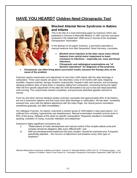## **HAVE YOU HEARD? Children Need Chiropractic Too!**



#### **Blocked Atlantal Nerve Syndrome in Babies and Infants**

This is the title of a most interesting paper by Gutmann which was published in German in Manuelle Medizin in 1987 and has now been reviewed in the September 1988 issue of Journal of the Australian Chiropractors' Association.

In the abstract to his paper Gutmann, a prominent specialist in manual medicine from Bad Sassendorf, West Germany, concludes:

- **Blocked nerve impulses at the atlas cause many clinical features from central motor impairment to lower resistance to infections – especially ear, nose and throat infections.**
- **Chiropractic and radiological examinations are "of decisive importance" for diagnosis of thesyndrome.**
- **Chiropractic can often bring about successful results, because the therapy aims at the cause of the problem.**

Gutmann reports examination and adjustment of more than 1000 infants with the atlas blockage or subluxation. Three case reports are given. One describes a boy of 18 months with early relapsing tonsillitis, frequent enteritis, therapy resistive conjunctivitis, frequent colds and earache, and increasing sleeping problems (fear of lying down or sleeping, falling from exhaustion, screaming during the night). After the first specific adjustment of the atlas the child demanded to be put to bed and slept peacefully until morning. The conjunctivitis cleared completely, and previously disturbed appetite returned to normal.

From his and other German Medical studies Gutmann concludes that approximately 80% of all children are not in autonomic balance and that many have atlas blockage or subluxation. He has been "constantly amazed how, even with the lightest adjustment with the index finger, the clinical picture normalizes, sometimes gradually, but often immediately."

His colleague Frymann, he reports, examined a random group of 1250 babies 5 days past partum. 211 suffered from vomiting, hyperactivity and sleeplessness. Manual examination revealed cervical strain in 95% of this group. Release of this strain by specific manipulation "frequently resulted in immediate quieting, cessation of crying, muscular relaxation and sleepiness."

Gutmann's highly significant conclusions are:

- i) "Observations of motor development and manual control of the occipito-atlanto-axial joint complex should be obligatory after every difficult birth"; and
- *ii)* With any developmental impairment this joint complex "should be examined and, if required, specifically adjusted….*the success of adjustment overshadows every other type of treatment."*

*'Blocked Atlantal Nerve Syndrome in Babies and Infants'*, Gutmann G. Manuelle Medizin (1987) 25:5-10. *'A Priceless Legacy – Lost, Strayed or Forfeited',* Peters R and Chance M, J Australian Chiropractors Association (September 1988) 18(3):81-84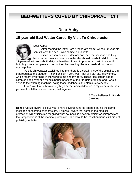## **BED-WETTERS CURED BY CHIROPRACTIC!!!**

## **Dear Abby**

#### **15-year-old Bed-Wetter Cured By Visit To Chiropractor**



Dear Abby:

After reading the letter from "Desperate Mom", whose 20-year-old son still wets the bed, I was compelled to write.

Since her son has seen doctors and tried medications and they have had no positive results, maybe she should do what I did. I took my 15- year-old twin sons (both daily bed-wetters) to a chiropractor, and within a month, both boys were completely cured of their bed-wetting. Regular medical doctors could

not help them.

As this chiropractor explained it to me, there is a certain part of the spinal column that regulated the bladder – I can't explain it very well – but all I can say is it worked, which meant everything in the world to me and my boys. These kids couldn't go to camp or sleep over at a friend's house because of their terrible problem, and I was a slave to the washing machine, doing those bedsheets and blankets every day.

I don't want to embarrass my boys or the medical doctors in my community, so if you use this letter in your column, just sign me…

#### **A True Believer in South Carolina**

**Dear True Believer:** I believe you. I have several hundred letters bearing the same message concerning chiropractors. I am well aware that some in the medical profession will criticize me for giving what sounds like a "commercial" for chiropractors – the "stepchildren" of the medical profession – but I would be less than honest if I did not publish your letter.

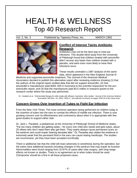# HEALTH & WELLNESS Top 40 Research Report

Vol. 2, No. 3 Published by Tapestry Press, Inc. MARCH 1992



#### **Conflict of Interest Taints Antibiotic Research**

Antibiotics may not be the best way to treat ear infections. This double-blind study from the University of Pittsburgh found that children treated with amoxicillin didn't recover any faster than children treated with a placebo, and were even more likely to have their infections recur.

These results contradict a 1987 analysis of the same data, which appeared in the *New England Journal of*

*Medicine* and supported amoxicillin treatment. The *Journal of the American Medical Association* decided to publish this alternative report after reviewing evidence showing (1) that the authors of the original report omitted data that did not support amoxicillin, (2) that amoxicillin's manufacturer paid \$260, 000 in honoraria to the scientist responsive for the proamoxicillin report, and (3) that the manufacturer paid \$3.5 million in research grants to the research center where the study was performed.

E,I. Cantekin et al., "Antimicrobial therapy for otitis media with effusion ('secretory' otitis media)," *Journal of the American Medical Association* 266 (Dec. 18, 1991): 3309-17. See editorial comments on pages 3333-34 of the same issue.

#### **Concern Grows Over Insertion of Tubes to Fight Ear Infection**

From the *New York Times*: The most common operation being performed on children today is the insertion of tubes into the ears to combat the effects of middle ear infection. There is now growing concern over its effectiveness and controversy about when it is appropriate with few good studies to support either side.

Dr. Jack L. Paradise, a pediatrician at the University of Pittsburgh School of Medicine states, "Far too many children are getting tubes – for every one child who needs and gets tubes, about 20 others who don't need them also get them. They nearly always cause permanent scars on the eardrum and could impair hearing decades later." Dr. Paradise also states the evidence is extremely weak that the persistent fluid in the ears can cause lasting handicaps. The studies are inconclusive, yet they have been accepted uncritically.

There is additional risk that the child will react adversely to anesthesia during the operation, but the tubes have additional hazards including changes in the eardrum that may impair its function. Abnormalities were found ranging from 32-67% of cases after tube surgery, with long-range effects not known or studies. There is no agreement as to when tubes should be used. Chiropractic should be a first in all these proposed cases.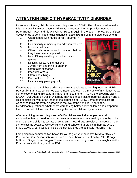## **ATTENTION DEFICIT HYPERACTIVITY DISORDER**

It seems as if every child is now being diagnosed as ADHD. The criteria used to make this diagnosis fits almost every child we've encountered in our practice. According to Peter Breggin, M.D. and his wife Ginger Rose Breggin in the book *The War on Children*, ADHD tends to be a middle class diagnosis. Let's take a look at the diagnosis criteria:

- 1. Often fidgets with hands or feet, squirms in seat
- 2. Has difficulty remaining seated when required
- 3. Is easily distracted
- 4. Often blurts out answers to questions before they have been completed
- 5. Has difficulty awaiting turn when playing games
- 6. Difficulty following instructions
- 7. Jumps from one thing to another
- 8. Often talks excessively
- 9. Interrupts others
- 10. Often loses things
- 11. Does not seem to listen
- 12. Has difficulty playing quietly



If you have at least 8 of these criteria you are a candidate to be diagnosed as ADHD. Personally, I am now concerned about myself and even the majority of my friends as we come close to fitting this pattern. Rather than use the term ADHD the Breggins call it DADD – Dad Attention Deficit Disorder. They feel that a lack of parental attention and a lack of discipline very often leads to the diagnosis of ADHD. Some neurologists are wondering if hyperactivity disorder is in the eye of the beholder. Years ago, Dr. Mendelsohn questioned whether we were taking below active children and comparing them to normal children and then calling the normal children hyperactive.

After examining several diagnosed ADHD children, we find an upper cervical subluxation that can lead to neurotransmitter involvement but certainly not to the point of drugging the child into a state of zombism. These drugs are Class II narcotics – the same class as cocaine. We see signs around schools that proclaim them as DRUG FREE ZONES, yet if we look inside the schools they are definitely not Drug Free.

I am going to recommend two books for you to give your patients: *Talking Back To Prozac* and *The War on Children*. Both of these books are written by Peter Breggin, M.D. and Ginger Rose Breggin. These books will astound you with their insight into the Pharmaceutical industry and the FDA.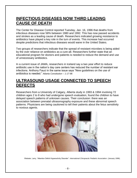## **INFECTIOUS DISEASES NOW THIRD LEADING CAUSE OF DEATH**

The Center for Disease Control reported Tuesday, Jan. 16, 1996 that deaths from infectious diseases rose 58% between 1980 and 1992. This has now passed accidents and strokes as a leading cause of death. Researchers indicated growing resistance to antibiotics have played a key role in the turn of events. This increase had occurred despite predictions that infectious diseases would wane in the United States.

Two groups of researchers indicate that the spread of resistant microbes is being aided by the over reliance on antibiotics as a cure-all. Researchers further state that an educational program for doctors and patients is needed to reduce the demand and use of unnecessary antibiotics.

In a current issue of JAMA, researchers in Iceland say a two year effort to reduce antibiotic use in the nation's day care centers has reduced the number of resistant ear infections. Anthony Fauci in the same issue says "New guidelines on the use of antibiotics is needed." *Atlanta Constitution – 1-17-96*

## **ULTRASOUND USAGE CONNECTED TO SPEECH DEFECTS**

Researchers from a University of Calgary, Alberta study in 1993 & 1994 involving 72 children ages 2 to 8 who had undergone speech evaluation, found the children to have delayed speech patterns of unknown causes. Their conclusion: there was an association between prenatal ultrasonography exposure and these abnormal speech patterns. Physicians are being cautioned to tell their patients about the fetus sensitivity to noxious agents.

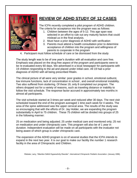

## **REVIEW OF ADHD STUDY OF 12 CASES**

The ICPA recently completed a pilot program of ADHD children. The criteria for acceptance into the program was as follows:

- 1. Children between the ages of 5-12. This age span was selected in an effort to rule out any maturity factors that could mislead us in the final analysis.
- 2. Must have a prior diagnosis of ADHD with verification
- 3. Parents must attend a health consultation prior to determine acceptance of children into the program and willingness of parents to cooperate in the program
- 4. Participant must follow schedule of care or be dismissed from the study

The study length was to be of one year's duration with all evaluation and care free. Emphasis was placed on the drug free aspect of the program and participants were to be re-evaluated every 60 days. We advertised in a local newspaper for participants with 19 children responding to the ad and placed under initial care. All 19 had a prior diagnosis of ADHD with all being prescribed Ritalin.

The clinical picture of all were very similar: poor grades in school, emotional outburst, low immune functions, lack of concentration in school , and overall emotional instability. Two also suffered from stuttering. Of these 19, only 8 completed our program. The others dropped out for a variety of reasons, such as traveling distance or inability to follow the visit schedule. The response factor accrued in approximately two months in almost all participants.

The visit schedule started at 3 times per week and reduced after 30 days. The next visit scheduled toward the end of the program averaged 1 time each week for 4 weeks. The area of the spine addressed was the upper cervical area. The results of the study was so encouraging that with the efforts of Dr. Jay Holder, we are expanding the program substantially in April to 75 children. These 75 children will be divided into groups of 25 in the following manner:

25 on medication and being adjusted; 25 under medical care and monitored only; 25 not on medication and under chiropractic care. This program will also be of 1 year in duration. Independent evaluation will be made on all participants with the evaluator not being aware of which group is under chiropractic care.

The expansion of the ADHD program is on of several studies that the ICPA intends to expand in the next two year. It is our goal to make our facility the number 1 research facility in the area of Chiropractic and Children.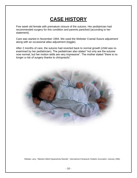## **CASE HISTORY**

Five week old female with premature closure of the sutures. Her pediatrician had recommended surgery for this condition and parents panicked (according to her statement).

Care was started in November 1994. We used the Webster Cranial Suture adjustment along with an occasional atlas adjustment (toggle).

After 2 months of care, the sutures had reverted back to normal growth (child was reexamined by her pediatrician). The pediatrician also stated "not only are the sutures now normal, but her motion skills are very impressive". The mother stated "there is no longer a risk of surgery thanks to chiropractic".

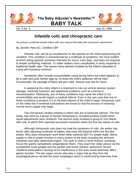

**The Baby Adjuster's Newsletter™ BABY TALK**



Vol. 2 No. 3 July 15, 1993

## **Infantile colic and chiropractic care**

*"According to published studies infants with colic respond favorably with chiropractic adjustments"*

#### *By Jennifer Peet DC, Certified CBP*

Infantile colic can be as troublesome for the parents as the child experiencing the condition. This condition is characterized by a multitude of symptoms, the most evident of which being episodic fussiness that lasts for hours, even days, and does not respond to simple comforting methods. To make matters more complicated, it rarely responds to traditional health care. This leaves many parents troubled as the infant's episodes of crying and fussiness continue.

Symptoms often include uncontrollable crying during which the infant appears to be in pain and pulls his/her legs up. At times the child's abdomen will be hard. Occasionally, the passage of flatus will give relief. Attacks may last for hours.

In analyzing the colicy infant it is important to rule out central nervous system damage, extremity fractures, and abdominal problems such as a hernia or intussusception. Obliviously, any of these conditions may cause the infant to cry uncontrollably and would require a medical referral. Even in the rare case that one of these conditions is present, it is in the best interest of the child to begin chiropractic care on the initial visit if vertebral subluxations are found so that the process of restoring normal nerve supply may begin.

Two chiropractic studies relating to infant colic are of particular interest. The first study, was done by a group of Danish chiropractors, revealed positive results when spinal adjustments were rendered. The second study involved a group of 316 infants with colic of which 94% reported successful resolution within the first two weeks of care.

Although chiropractic care does not treat the symptoms of colic, the author has found, after adjusting hundreds of babies, that most will respond within the first few weeks. Why does chiropractic work when other methods fail? It's simple really. Nerve supply is vital to proper function in every system of the body including the stomach, intestines and other abdominal organs. The sixth to ninth or tenth thoracic vertebrae house the gastric sympathetic preganglionic fibers. They reach the celiac plexus via the sympathetic trunk ganglia and the greater and lesser thoracic splanchnic nerves. Vertebral subluxations causing nerve interference in this area would adversely affect gastric function. The two vagus nerves also play a major role as they form the esophageal plexus around the lower esophagus which is reinforced by branches from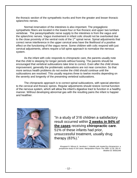the thoracic section of the sympathetic trunks and from the greater and lesser thoracic splanchnic nerves.

Normal innervation of the intestines is also important. The pregaglionic sympathetic fibers are located in the lowest four or five thoracic and upper two lumbars vertebrae. The parasympathetic nerve supply to the intestines is from the vagus and the splanchnic nerves. Vagus involvement in infant colic should not be overlooked due to the close proximity of the ventral roots of the 1<sup>st</sup> spinal nerve. Spinal adjustments that correct nerve interference in the upper cervical area have the likelihood of a positive effect on the functioning of the vagus nerve. Some children with colic respond with just cervical adjustments, others require a full spine approach to normalize the nervous system.

As the infant with colic responds to chiropractic care, the parents usually note that the child is sleeping for longer periods without fussing. The parents should be encouraged that vertebral subluxations take time to correct. Even after the child shows improvement, generally the problematic subluxations are not near correction. So that more serious health problems do not evolve the child should continue until the subluxations are resolved. This usually requires three to twelve months depending on the severity and longevity of the presenting vertebral subluxations.

The chiropractic approach is to correct spinal subluxations, with special attention to the cervical and thoracic spines. Regular adjustments should restore normal function of the nervous system, which will allow the infant's digestive tract to function in a healthy manner. Without developing abnormal gas with the resulting pains the infant is happier and healthier.



"In a study of 316 children a satisfactory result occurred within **2 weeks in 94% of the cases** receiving **chiropractic care**. 51% of these infants had prior, unsuccessful treatment, usually drug therapy (83%)."

*Klougarat N. Nilsson N. Jacobsen J. Infantile colic treated by chiropractors: a prospective study of 316 cases. Manipulative Physio The 1989; 12 (4): 281-8 / Medline ID: 89361049*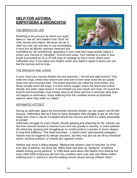## **HELP FOR ASTHMA, EMPHYSEMA & BRONCHITIS**

#### THE BREATH OF LIFE

Breathing is the process by which your body takes in "raw air" and makes it into "food" for cells, tissues and organs. Because raw air is often too cold, dry and dirty to use immediately, it must first be filtered, warmed, cleansed and



humidified by "air conditioning" apparatus in your nose and nasal cavities before it enters your *trachea* or "windpipe", bronchi and lungs. Your trachea is a tube in your throat surrounded by 15 to 20 stiff rings of cartilage so that it never closes (and suffocates you). If you place your fingers under your Adam's apple or larynx you can feel the trachea and its rings.

#### THE BRONCHI AND LUNGS

In your chest your trachea divides into two branches – the left and right bronchi. They enter the lungs, where they branch over and over to form what looks like an upsidedown tree (the bronchial tree). The tiniest branches are called the bronchioles, and these actually touch the lungs. It is here where oxygen enters the blood and carbon dioxide and water vapor leave it, to be exhaled out your mouth and nose. Of course the bronchi and bronchioles must remain clear at all times and that is precisely what does not happen to asthmatics, those suffering from the condition known as bronchial asthma, when they suffer an "attack".

#### ASTHMATIC ATTTACT

During an asthmatic attack the bronchioles become swollen, go into spasm and fill with mucous. Asthmatics feel as if they're being strangled; they struggle to get air into their lungs and, once in, the air is trapped behind the mucous and then it's nearly impossible to exhale!

Asthmatics struggle for every breath, literally gasping and wheezing for life. Attacks can last from several minutes to several hours and vary greatly in severity. In some patients the wheezing, gasping and struggling go on continuously to a greater or lesser degree. In long-time sufferers, "The chest becomes…a 'barrel chest' (permanently enlarges)." Attacks may be triggered by allergic reactions, but they may also be set off by emotional stress, physical exertion, or irritants like cigarette smoke.

Asthma was never a killing disease: "Medical folk-wisdom used to hold that 'no child ever dies of asthma', but since the 1960s there has been an "epidemic" of asthma deaths among young persons." In 1985 there were about 300 deaths from asthma but since 1994 5000 Americans die from this condition each year with over fifteen million suffering from it. Asthma is now the leading chronic illness among children. Why?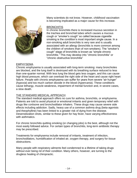

Many scientists do not know. However, childhood vaccination is becoming implicated as a major cause for this increase.

#### **BRONCHITIS**

In chronic bronchitis there is increased mucous secretion in the trachea and bronchial tubes which causes a mucous cough or "smoker's cough" so called because cigarette smoking is the condition's most important single cause. In a non-smoking adult bronchitis is very rare and is usually associated with an allergy (bronchitis is more common among the children of smokers than of non-smokers). The "smoker's cough" stage of bronchitis is known as "simple chronic bronchitis." This may develop into "chronic bronchitis" or "chronic obstructive bronchitis"

#### EMPHYSEMA

Chronic emphysema is usually associated with long-term smoking: many bronchioles are blocked, and the lung itself is destroyed with its breathing surface reduced to less than one-quarter normal. With less lung the blood gets less oxygen, and this can cause high blood pressure, which can overload the right side of the heart and cause right heart failure. People with chronic emphysema can suffer for years from severe "air hunger" (*hypoxia*) and too much carbon dioxide in the blood (*hypercania*). These conditions cause lethargy, muscle weakness, impairment of mental function and, in severe cases, a slow death.

#### THE STANDARD MEDICAL APPROACH

The standard medical approach offers no cure for asthma, bronchitis, or emphysema. Patients are told to avoid physical or emotional irritants and given temporary relief with drugs like cortisone and bronchodilator inhalers. These drugs may cause severe side effects including addiction. Sadly, heavy use of a common asthma drug (beta-agonists and theophylline) has been linked to a greater risk of dying from the disease. Desensitization shots, similar to these given for hay fever, have varying effectiveness with asthmatics.

For chronic bronchitis quitting smoking (or changing jobs) is the best, although not the most easily followed advice. For certain types of bronchitis, long-term antibiotic therapy may be prescribed.

Treatments for emphysema include removal of irritants, treatment of infection, bronchodilators, humidification of inhaled air, oxygen therapy, and surgery for tissue obstructions.

Many people with respiratory ailments feel condemned to a lifetime of taking drugs without ever being rid of their condition. Many others, however, are turning to the drugless healing of chiropractic.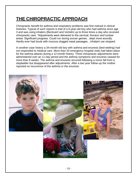## **THE CHIROPRACTIC APPROACH**

Chiropractic benefit for asthma and respiratory problems was first noticed in clinical histories. Typical of such reports is that of a 6-year-old boy who had asthma since age 3 and was using inhalers (Beclovert and Vertolin) up to three times a day who received chiropractic care: "Adjustments were delivered to the cervical, thoracic and lumbar areas. Significant progress. Could run during soccer games…slept more soundly. Hardly ever had bouts with mucous clogged nasal passages…inhalant use stopped.

In another case history a 34-month-old boy with asthma and enuresis (bed-wetting) had not responded to medical care. More than 20 emergency hospital visits had taken place for the asthma attacks during a 12-month history. Three chiropractic adjustments were administered over an 11-day period and the asthma symptoms and enuresis ceased for more than 8 weeks. The asthma and enuresis recurred following a minor fall from a stepladder but disappeared after adjustments. After a two year follow-up the mother reported no recurrence of the asthma or the enuresis.

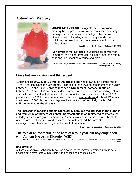#### **Autism and Mercury**



**MOUNTING EVIDENCE** suggests that **Thimerosal**, a mercury-based preservative in children's vaccines, may be responsible for the exponential growth of autism, attention deficit disorder, speech delays, and other childhood neurological disorders now epidemic in the United States.

Robert Kennedy Jr., The Boston Globe, July 1<sup>st</sup>, 2005

"Low levels of mercury used in vaccines preserved with thimerosal can trigger irregularities in the immune system cells and is suspect as a cause of autism."

Dr Issac Pessah, Center for Children's Environmental Health, University of California, Time Magazine, May 5, 2006

#### **Links between autism and thimerosal**

Autism affects **500,000 to 1.5 million Americans** and has grown at an annual rate of 10 to 17 percent since the late 1980s. California found a 273 percent increase in autism between 1987 and 1998. Maryland reported a **513 percent increase in autism**  between 1993 and 1998 and several dozen other states reported similar findings. Some scientists say the estimated number of cases of autism has increased 15-fold –1,500 percent – since 1991, when the number of childhood **[vaccinations](http://www.newstarget.com/vaccinations.html) doubled**. Whereas one in every 2,500 children was diagnosed with autism before 1991, **one in 166 children now have the disease.**

**This increase in reported autism cases eerily parallels the increase in the number and frequency of thimerosal-containing vaccinations administered to infants**. As of today, children are given as many as 21 immunizations in the first 15 months of life. After a number of scientists and concerned activists noticed the correlation, an investigation was launched to get to the heart of the matter.

Dawn Prate, Newstarget.com, September 22, 2005

#### **The role of chiropractic in the care of a four-year-old boy diagnosed with Autism Spectrum Disorder (ASD)**

Joel Alcantara, DC (1) and Kim McCann-Swanson, DC, DACCP (2)l Presented at Pangea: a Conference for the Wellness of Children

#### **Background**:

Autism is a complex, behaviorally defined disorder of the immature brain. Autism is not a disease but a syndrome with multiple non-genetic and genetic causes.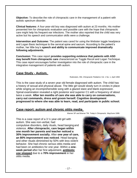**Objective:** To describe the role of chiropractic care in the management of a patient with autistic spectrum disorder.

**Clinical features:** A four-year-old boy was diagnosed with autism at 23 months. His mother presented him for chiropractic evaluation and possible care with the hope that chiropractic care might help his frequent ear infections. The mother also reported that the child was very active but his speech and communication skills were a challenge.

**Intervention and Outcome:** The patient was cared for using the Webster toggle headpiece and Logan Basic technique to the cervical spine and sacrum. According to the patient's mother, her little boy's **speech and ability to communicate improved dramatically following adjustments.**

**Conclusion:** This case report **provides supporting evidence that patients with ASD may benefit from chiropractic care** characterized as Toggle Recoil and Logan Technique. This case report encourages further investigation into the role of chiropractic care in the integrative management of patients with autism.

#### **Case Study - Autism.**

Rubinstein, HM, *Chiropractic Pediatrics* Vol. 1 No. 1, April 1994

This is the case study of a seven year old female diagnosed with autism. The child has a history of sexual and physical abuse. The little girl would slowly turn in circles in place while singing an incomprehensible song with a glazed stare and blank expression. Spinal examination revealed a right posterior and superior C1 with a frequency of about twice a week. **After ten months of care she was able to carry on conversations, carry out commands, dress and groom herself. Cognitive development progressed to where she was able to learn, read, and participate in public school.**

#### **Case report: autism and chronic otitis media.**

Warner SP and Warner TM. *Today's Chiropractic.* May/June 1999.

This is a case report of a  $3\frac{1}{2}$  year-old girl with autism. She was non-verbal, had compulsive disorders, daily rituals, head banging and violence. **After chiropractic, care began within one month her parents and teacher noticed a 30% improvement socially.** After **one year of care, an 80% improvement was noticed**. Head banging and other rituals diminished by 50% with less violent behavior. She had chronic serous otitis media and had been on antibiotics for one year. Within a **oneweek period** after her first adjustment, **antibiotic use stopped** due to a **70% improvement** in her otitis media.

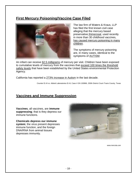## **First Mercury Poisoning/Vaccine Case Filed**



The law firm of Waters & Kraus, LLP has filed the first known civil case alleging that the mercury based preservative thimerosal, used recently in more than 30 childhood vaccines, has caused mercury poisoning in many children.

The symptoms of mercury poisoning are, in many cases, identical to the symptoms of AUTISM.

An infant can receive 62.5 milligrams of mercury per visit. Children have been exposed to cumulative levels of mercury from the vaccines that exceed 100 times the threshold safety levels that have been established by the United States environmental Protection Agency.

California has reported a 273% increase in Autism in the last decade.

Counter Et Al vs. Abbott Laboratories Et Al, Case # GN 100866, 200th District Court-Travis County, Texas

## **Vaccines and Immune Suppression**

**Vaccines**, all vaccines, are **immune suppressing**; that is they depress our immune functions.

**Chemicals depress our immune system**; the virus present depresses immune function, and the foreign DNA/RNA from animal tissues depresses immunity.



[www.mercola.com](http://www.mercola.com/)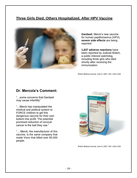## **Three Girls Died, Others Hospitalized, After HPV Vaccine**



**Gardasil**, Merck's new vaccine for human papillomavirus (HPV), **severe side effects** are being reported

**1,637 adverse reactions** have been reported by Judicial Watch, a public interest watchdog, including three girls who died shortly after receiving the immunization.

British Medical Journal, June 9, 2007; 334: 1182-1183

#### **Dr. Mercola's Comment:**

"…some concerns that Gardasil may cause infertility"

"…Merck has manipulated the medical and political system to FORCE children to get this dangerous vaccine for their own bottom line profit. The potential promised reduction of cervical cancer is the bait they use."

"….Merck, the manufacturer of this vaccine, is the same company that made Vioxx that killed over 60,000 people.



British Medical Journal, June 9, 2007; 334: 1182-1183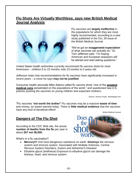#### **Flu Shots Are Virtually Worthless, says new British Medical Journal Analysis**



Flu vaccines are **largely ineffective** in the populations for which they are most highly recommended, according to a new study published in the Oct, 28 issue of the British Medical Journal

"We've got an **exaggerated expectation** of what vaccines can actually do," Dr. Tom Jefferson said. "I'm hoping American and European taxpayers will be alerted and start asking questions."

United States health authorities currently recommend flu vaccine shots for most Americans – children 6 to 23 months; kids 23 months to 5 years old.

Jefferson notes that recommendations for flu vaccines have significantly increased in recent years – a move he says **may not be justified**

Consumer health advocate Mike Adams called flu vaccine shots "one of the **greatest medical cons** perpetrated on the populations of the world," and questioned new U.S. policies pushing the vaccines on young children and expectant mothers.

Source: Jessica Fraser, Newstarget.com

"Flu vaccines "**not worth the bother"** Flu vaccines may be a massive **waste of time**  and money, an expert warned today. There is **little medical evidence** that the vaccines have any kind of beneficial effect!

British Medical Journal

## **Dangers of The Flu Shot**

According to the CDC Web site, the actual **number of deaths from the flu** per year is about **257 not 36,000.**

What's in a flu vaccination?

- **Mercury!!!** 2nd most dangerous substance on earth. **Destroys** the nervous system and immune system. Associated with Multiple Sclerosis, Central Nervous System Disorders, Autism and Alzheimer's Disease!
- Ethylene glycol (antifreeze) Exposure to ethylene glycol can damage the kidneys, heart, and nervous system.

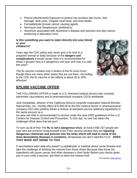- Phenol (disinfectant) Exposure to phenol can produce skin burns, liver damage, dark urine, irregular heart beat, and even death.
- Formaldehyde (known cancer causing agent)
- Neomycin and Streptomycin (antibiotics)
- Aluminum associated with Alzheimer's disease and seizures and also cancer producing in laboratory mice.

#### **Is this something you want to inject directly into your blood or your children's?**

Years ago the CDC policy was never give a flu shot to a pregnant woman or baby because of the **dangers and complications** it would cause! Now it is recommended for these 2 groups! How is it dangerous one year and now it is safe this year?

The flu vaccine contains only 3 strains of the flu virus! Even though there are many other stains that are out there. According to the CDC the flu vaccine in the elderly is about 30 to 40% effective!



## **\$75,000 VACCINE OFFER**

THE FOLLOWING OFFER is made to U.S.-licensed medical doctors who routinely administer vaccinations and to pharmaceutical company CEOs worldwide:

Jock Doubleday, director of the California 501(c)3 nonprofit corporation Natural Woman, Natural Man, Inc., hereby offers \$75,000.00 to the first medical doctor or pharmaceutical company CEO who publicly drinks a mixture of standard vaccine additives ingredients in the same amount as a

six-year-old child is recommended to receive under the year-2005 guidelines of the U.S. Centers for Disease Control and Prevention. To this day, no one has taken the challenge! What does that tell you?

To sum up all of this! The **flu is not a dangerous virus**, at most it kills 257 people per year who are immune compromised! Even if the vaccine worked they are **injecting dangerous chemicals and poisons into the body which will lead to some of the most devastating diseases in existence**, all because you don't wantthe FLU**! DOES THAT MAKE ANY SENSE TO YOU!**

If vaccinations were safe why doesn't a pediatrician or medical doctor come forward and take the challenge of drinking the mixture from these shots! Because they know the ingredients will cause cancer and other diseases in their body! Before your doctor gives you or your child a vaccine, ask them to drink the mixture first!

CDC Website[: www.cdc.org](http://www.cdc.org/)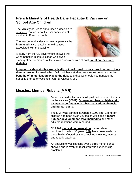## **French Ministry of Health Bans Hepatitis B Vaccine on School Age Children**

The Ministry of Health announced a decision to **suspend** routine hepatitis B immunization of children in French schools.

The reason for this decision was apparently the **increased risk** of autoimmune diseases associated with the vaccine.

A study from the US government showed that when hepatitis B immunization was given



starting after two months of life, it was associated with almost **doubling the risk of diabetes.**

**Long term safety studies are typically not performed on vaccines in order to have them approved for marketing**. "Without these studies, we **cannot be sure that the benefits of immunization exceed the risks** and thus we should not mandate the hepatitis B or other vaccines" John B. Classen, M.D.

## **Measles, Mumps, Rubella (MMR)**



Japan is virtually the only developed nation to turn its back on the vaccine (MMR). **Government health chiefs claim a 4 year** *experiment* **with it has had serious financial and human costs.**

The MMR was banned in Japan in 1993 after 1.8 million children had been given 2 types of MMR and a **record number developed non viral meningitis** and other adverse reactions were recorded.

Of 3,969 **medical compensation** claims related to vaccines in the last 30 years, **25%** have been made by those badly affected by the combined measles, mumps and rubella vaccines.

An analysis of vaccinations over a three month period showed one in every 900 children was experiencing problems.

Dr. Joseph Mercola, M.D[. www.mercola.com](http://www.mercola.com/)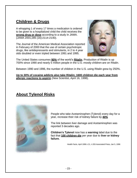## **Children & Drugs**

A whopping 1 of every 17 times a medication is ordered to be given to a hospitalized child the child receives the **wrong drug or dose** according to a study in JAMA. (JAMA 2001;285 (16):2114-2140).

The Journal of the American Medical Association reported in February of 2000 that the use of certain psychotropic drugs, like antidepressants and stimulants, in 2 to 4 year olds doubled or even tripled between 1991 and 1995.



The United States consumes **90%** of the world's **Ritalin**. Production of Ritalin is up 700% since 1990 and nearly 5 million people in the U.S.-mostly children-are on Ritalin.

Between 1990 and 1996, the number of children in the U.S. using Ritalin grew by 250%.

**Up to 30% of cocaine addicts also take Ritalin; 1600 children die each year from allergic reactions to aspirin** (New Scientist, April 16, 1998).

## **About Tylenol Risks**



People who take Acetaminophen (Tylenol) every day for a year, increase their risk of kidney failure by **40%**

The link between liver damage and Acetaminophen was reported 3 decades ago.

**Children's Tylenol** now has a **warning** label due to the fact that **100 children die** per year due to **liver or kidney failure.**

Health Facts, April 1996 v 21, n 203 Associated Press, Jan 5, 1996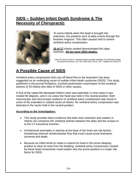## **SIDS – Sudden Infant Death Syndrome & The Necessity of Chiropractic**



"In some infants when the head is brought into extension, the posterior arch of atlas inverts through the foramen magnum. This often caused mild to severe vertebral artery compression.

**10 of 17** infants studied demonstrated this atlas inversion. **All ten were SIDS deaths.**

Giles FH; Bina M; Sotrl A; Infantile Atlanto-occipital Instability/ The Potential Danger of Extreme Extension. Am J Dis Child 19/9; 133 (1): 30-7 / Medline ID:79101175

## **A Possible Cause of SIDS**

Vertebral artery compression that cuts off blood flow to the brainstem has been suggested as an underlying cause of sudden infant death syndrome (SIDS). This study, published in the journal Pediatrics, involved postmortem examination of the vertebral arteries of 20 infants who died of SIDS or other causes.

In five of the cases the deceased infant's neck was extended; in nine cases it was rotated 90 degrees, and in six cases the head was held in the neutral position. Both macroscopic and microscopic evidence of vertebral artery compression was found in some of the extended or rotated necks of infants. No vertebral artery compression was detected in the necks held in the neutral position.

#### **According to the investigators:**

- This study provides direct evidence that both neck extension and rotation in infants can compress the vertebral arteries between the atlas and the occiput or at the C1 transverse foramen.
- Architectural anomalies in arteries at the base of the brain are risk factors threatening reduced vertebrobasilar flow that could cause acute brainstem ischemia and death.
- Because an infant tends to rotate or extend its head in the prone sleeping position to clear its nose from the bedding, vertebral artery compression caused by these head movements could explain why the prone position is a major risk factor for SIDS.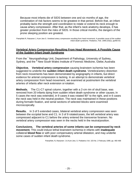Because most infants die of SIDS between one and six months of age, the combination of risk factors seems to be greatest in that period. Before that, an infant probably lacks the strength and coordination to rotate or extend its neck enough to cause artery compression. After that, as the infant's neck anatomy develops, it has greater protection from the risks of SIDS. In those critical months, the dangers of the prone sleeping position are greatest.

Pamphlett R, Raisanen J, Kum-Jew S. Vertebral artery compression resulting from head movement: A possible cause of the sudden infant death syndrome. *Pediatrics*, Feb. 1999;103(2), pp460-63.

#### **Vertebral Artery Compression Resulting From Head Movement: A Possible Cause of the Sudden Infant Death Syndrome**

From the \* Neuropathology Unit, Department of Pathology, University of Sydney, Sydney, and the <sup>\*</sup> New South Wales Institute of Forensic Medicine, Glebe, Australia

. **Objective. Vertebral artery compression** causing brainstem ischemia has been suggested to underlie the **sudden infant death syndrome**. Vertebralartery distortion from neck movements has been demonstrated by angiography in infants, but direct evidence for arterial compression is lacking. In an attempt to demonstrate vertebral artery compression from head movement, we examined at postmortem the vertebral arteries of infants after neck extension orrotation.

**Methods.** The C1-C7 spinal column, together with a 2-cm rim of skull base, was removed from 20 infants dying from sudden infant death syndrome or other causes.In 5 cases the neck was extended, in 9 cases it was rotated 90° to the right, and in 6 cases the neck was held in the neutral position. The neck was maintained in these positions during formalin fixation, and serial sections of selected blocks were examined microscopically.

**Results.** In 3 of 5 extended cases, bilateral vertebral artery compression was seen between the occipital bone and C1. In 3 of 9 rotatedcases, the left vertebral artery was compressed adjacent to C1 before the artery entered the transverse foramen. No vertebral artery compression was seen in the necks held in the neutralposition.

**Conclusions. The vertebral arteries of some infants can be compressed by neck movement.** This could induce lethal brainstem ischemia in infants with **inadequate**  collateral **blood flow** or with poor compensatory arterial dilatation, and may underlie some cases of sudden infant death syndrome.

Pamphlett, R, Raisanen<sup>,</sup> J & Kum-Jew, S. Pediatrics Vol. 103 No. 2 February 1999, pp. 460-468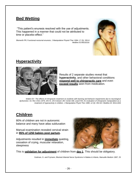## **Bed Wetting**

"This patient's enuresis resolved with the use of adjustments. This happened in a manner that could not be attributed to time or placebo effect."

Blomerth PR; Functional nocturnal enuresis. J Manipulative Physiol Ther 1994; 17 (5): 335-8 Medline ID:95016316



## **Hyperactivity**



Results of 2 separate studies reveal that **hyperactivity**, and other behavioral conditions **respond well to chiropractic care** and even **exceed results** seen from medication.

*Walton EV. The effects of chiropractic treatment on students with learning and behavior impairments due to neurological dysfunction. Int. Rev Chiro 1975; 29:4-5. 24-6 Giesen JM; Center DB; Leach RA; An evaluation of chiropractic manipulation as a treatment of hyperactivity in children. J Manipulative Phyiol Ther 1989; 12 (5): 353-63 / Medline ID: 90111454*

## **Children**

80% of children are not in autonomic balance and many have atlas subluxation

Manual examination revealed cervical strain in **95% of 1250 babies post partum.**

Adjustments resulted in **immediate** quieting, cessation of crying, muscular relaxation, sleepiness



This is **validation for adjustment** of children from **day 1**. This should be obligatory.

Guttman, G. and Frymann, Blocked Atlantal Nerve Syndrome In Babies & Infants, Manuelle Medizin 1987; 25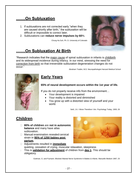## **…….On Subluxation**

- 1. If subluxations are not corrected early "when they are caused shortly after birth," the subluxation will be difficult or impossible to correct later.
- 2. Subluxations can **reduce nerve impulses by 60**%.

Chung Ha Suh, Ph. D. University of Colorado

## **…….On Subluxation At Birth**

"Research indicates that the major cause of spinal subluxation in infants is childbirth and its widespread incidence during infancy. In our mind, stressing the need for correction from birth so that irreversible subluxation degeneration changes do not occur."

Abraham Towbin, M.D. Neuropathologist Harvard Medical School



## **Early Years**

#### **65% of neural development occurs within the 1st year of life.**

If you do not properly receive info from the environment…

- Your development is impaired
- Your reality is distorted and diminished
- You grow up with a distorted view of yourself and your world.

Seitl, J.A. I Move Therefore I Am. Psychology Today, 1993; 26

## **Children**

- **80% of children** are **not in autonomic balance** and many have atlas subluxation.
- □ Manual examination revealed cervical strain in **95% of 1250 babies post partum.**



- Adjustments resulted in **immediate** quieting, cessation of crying, muscular relaxation, sleepiness
- This is **validation for adjustment** of children from **day 1**. This should be obligatory.

Guttman, G. and Frymann. Blocked Atlantal Nerve Syndrome In Babies & Infants. Manuelle Medizin 1987; 25